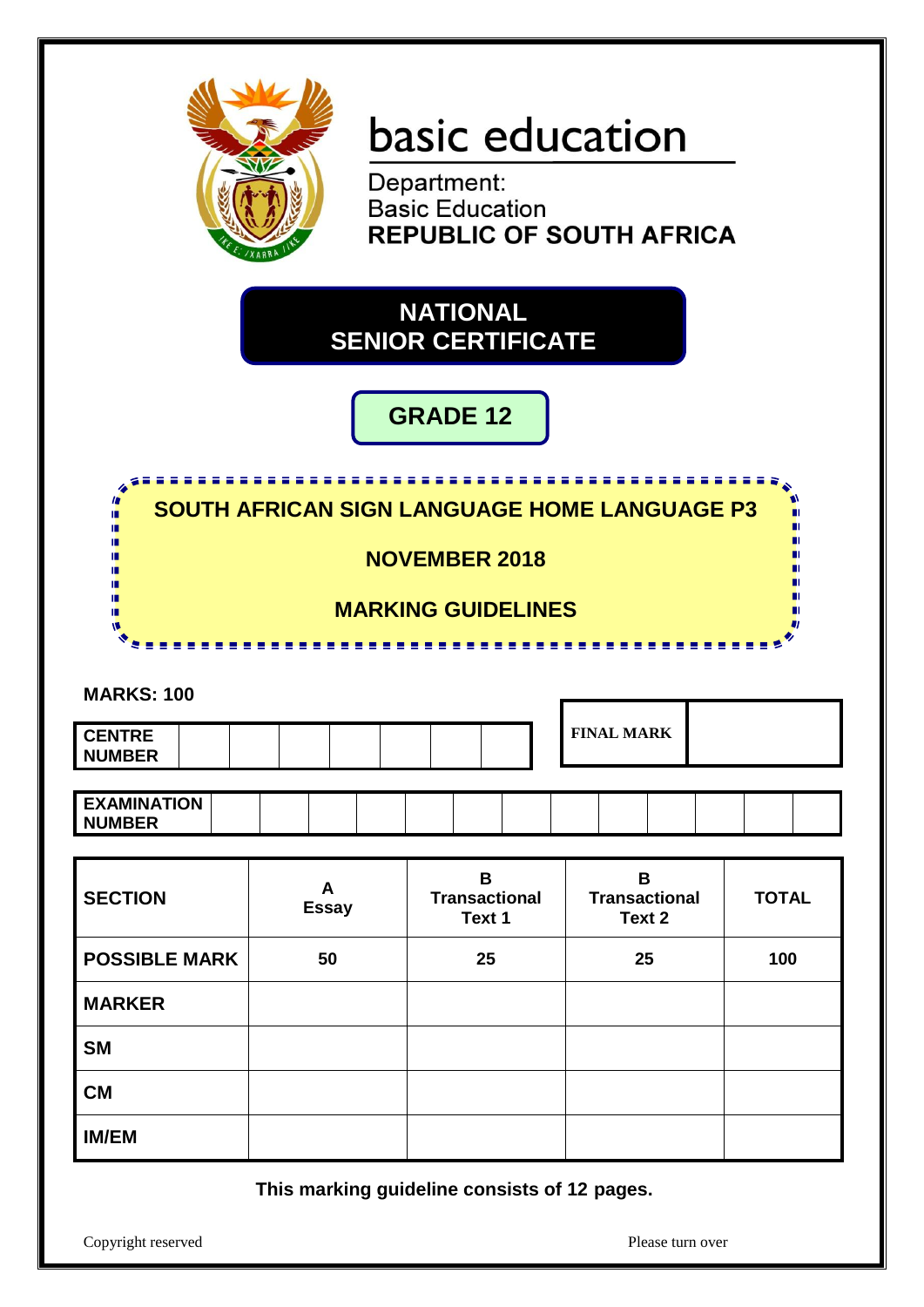

# basic education

**Department:<br>Basic Education REPUBLIC OF SOUTH AFRICA** 

## **NATIONAL SENIOR CERTIFICATE**

**GRADE 12**



**This marking guideline consists of 12 pages.**

Copyright reserved Please turn over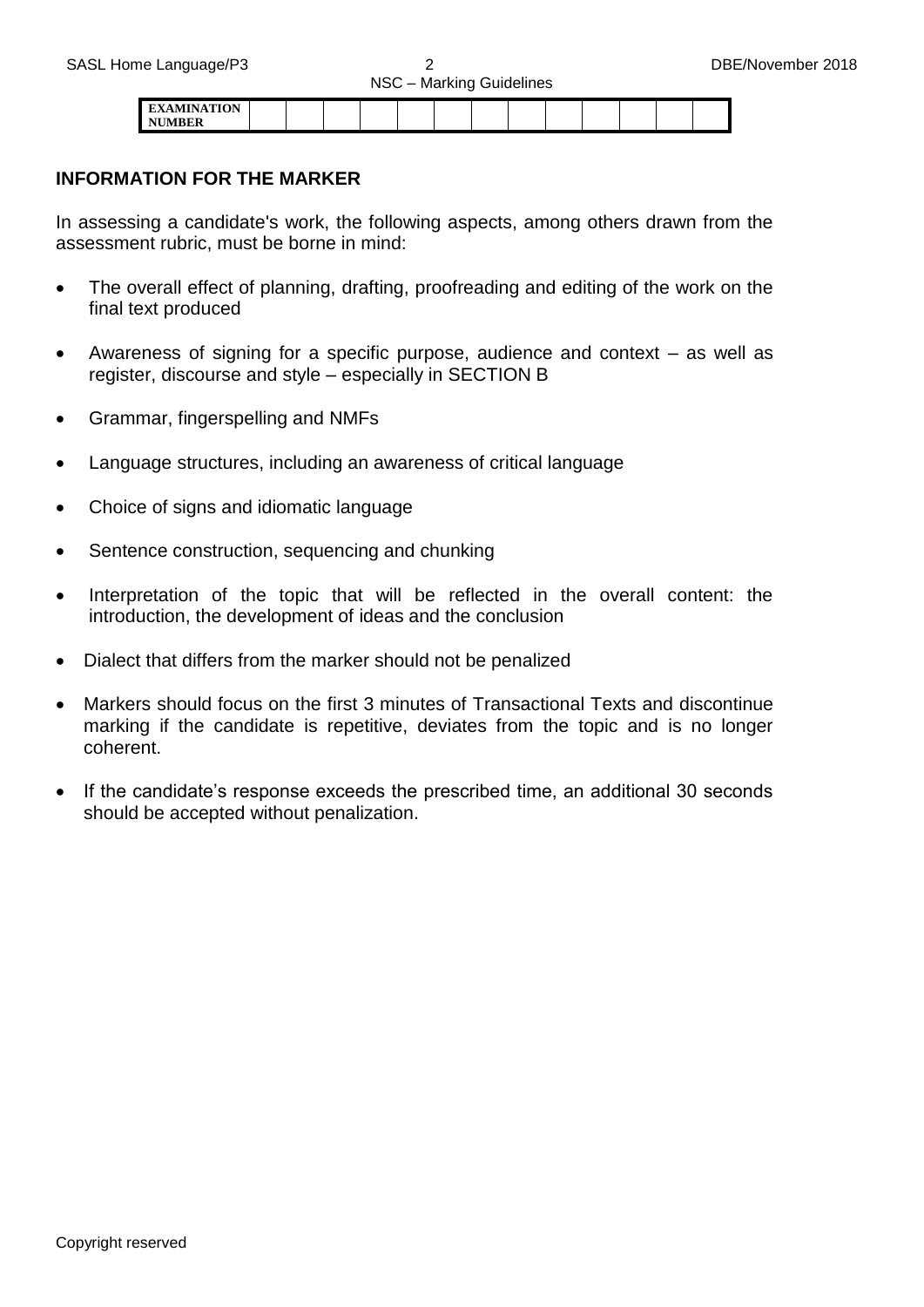| <b>INTONT</b> |  |  |  |  |  |  |  |
|---------------|--|--|--|--|--|--|--|
|               |  |  |  |  |  |  |  |

#### **INFORMATION FOR THE MARKER**

In assessing a candidate's work, the following aspects, among others drawn from the assessment rubric, must be borne in mind:

- The overall effect of planning, drafting, proofreading and editing of the work on the final text produced
- Awareness of signing for a specific purpose, audience and context as well as register, discourse and style – especially in SECTION B
- Grammar, fingerspelling and NMFs
- Language structures, including an awareness of critical language
- Choice of signs and idiomatic language
- Sentence construction, sequencing and chunking
- Interpretation of the topic that will be reflected in the overall content: the introduction, the development of ideas and the conclusion
- Dialect that differs from the marker should not be penalized
- Markers should focus on the first 3 minutes of Transactional Texts and discontinue marking if the candidate is repetitive, deviates from the topic and is no longer coherent.
- If the candidate's response exceeds the prescribed time, an additional 30 seconds should be accepted without penalization.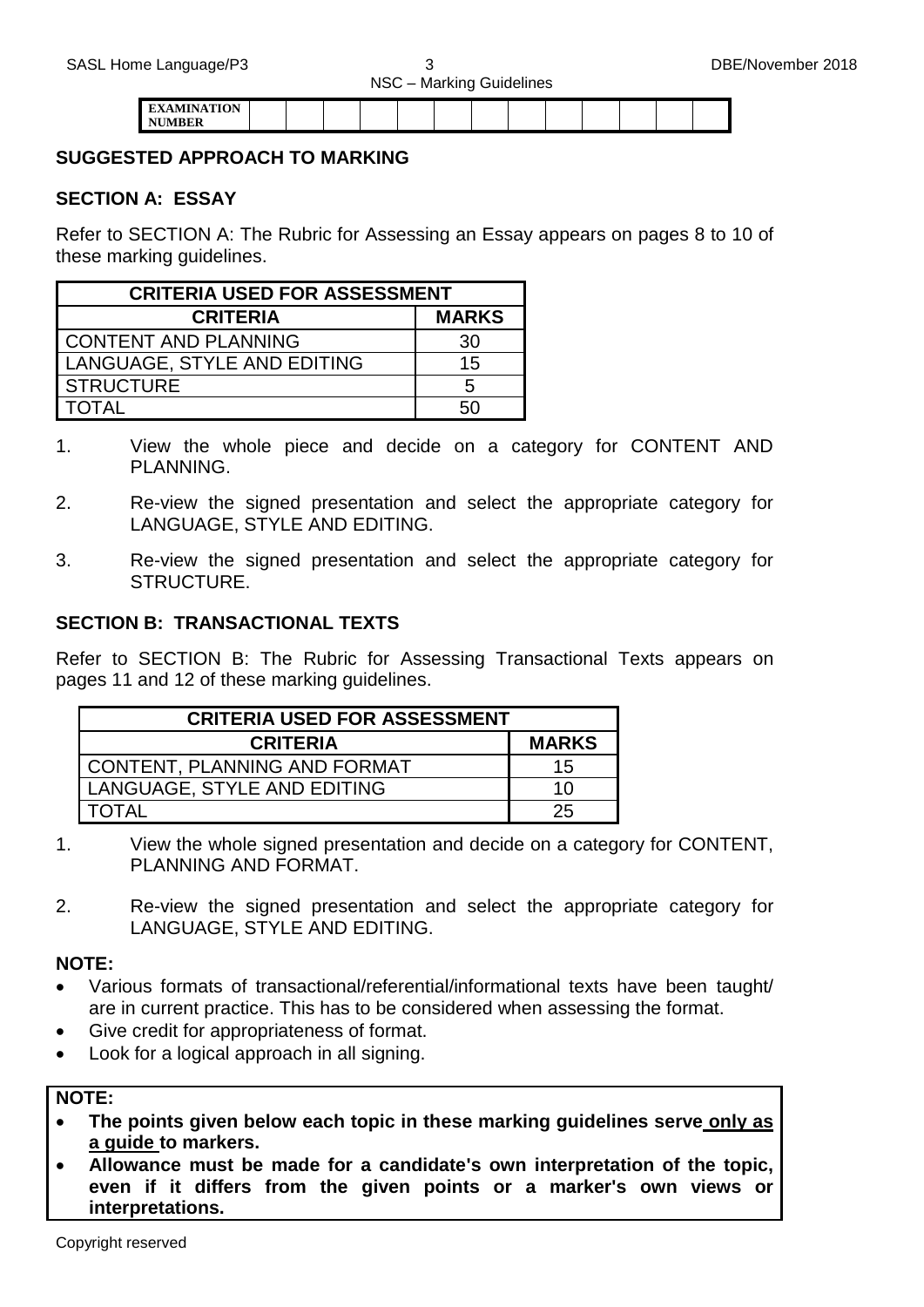| <b>MINIATION</b><br><b>The State</b> |  |  |  |  |  |  |  |
|--------------------------------------|--|--|--|--|--|--|--|
|                                      |  |  |  |  |  |  |  |

#### **SUGGESTED APPROACH TO MARKING**

#### **SECTION A: ESSAY**

Refer to SECTION A: The Rubric for Assessing an Essay appears on pages 8 to 10 of these marking quidelines.

| <b>CRITERIA USED FOR ASSESSMENT</b> |              |  |  |  |  |  |  |  |  |
|-------------------------------------|--------------|--|--|--|--|--|--|--|--|
| <b>CRITERIA</b>                     | <b>MARKS</b> |  |  |  |  |  |  |  |  |
| <b>CONTENT AND PLANNING</b>         | 30           |  |  |  |  |  |  |  |  |
| LANGUAGE, STYLE AND EDITING         | 15           |  |  |  |  |  |  |  |  |
| <b>STRUCTURE</b>                    | 5            |  |  |  |  |  |  |  |  |
| ΓΩΤΑΙ                               |              |  |  |  |  |  |  |  |  |

- 1. View the whole piece and decide on a category for CONTENT AND PLANNING.
- 2. Re-view the signed presentation and select the appropriate category for LANGUAGE, STYLE AND EDITING.
- 3. Re-view the signed presentation and select the appropriate category for STRUCTURE.

#### **SECTION B: TRANSACTIONAL TEXTS**

Refer to SECTION B: The Rubric for Assessing Transactional Texts appears on pages 11 and 12 of these marking guidelines.

| <b>CRITERIA USED FOR ASSESSMENT</b> |              |
|-------------------------------------|--------------|
| <b>CRITERIA</b>                     | <b>MARKS</b> |
| <b>CONTENT, PLANNING AND FORMAT</b> | 15           |
| LANGUAGE, STYLE AND EDITING         | 10           |
| TOTAL                               | 25           |

- 1. View the whole signed presentation and decide on a category for CONTENT, PLANNING AND FORMAT.
- 2. Re-view the signed presentation and select the appropriate category for LANGUAGE, STYLE AND EDITING.

#### **NOTE:**

- Various formats of transactional/referential/informational texts have been taught/ are in current practice. This has to be considered when assessing the format.
- Give credit for appropriateness of format.
- Look for a logical approach in all signing.

#### **NOTE:**

- **The points given below each topic in these marking guidelines serve only as a guide to markers.**
- **Allowance must be made for a candidate's own interpretation of the topic, even if it differs from the given points or a marker's own views or interpretations.**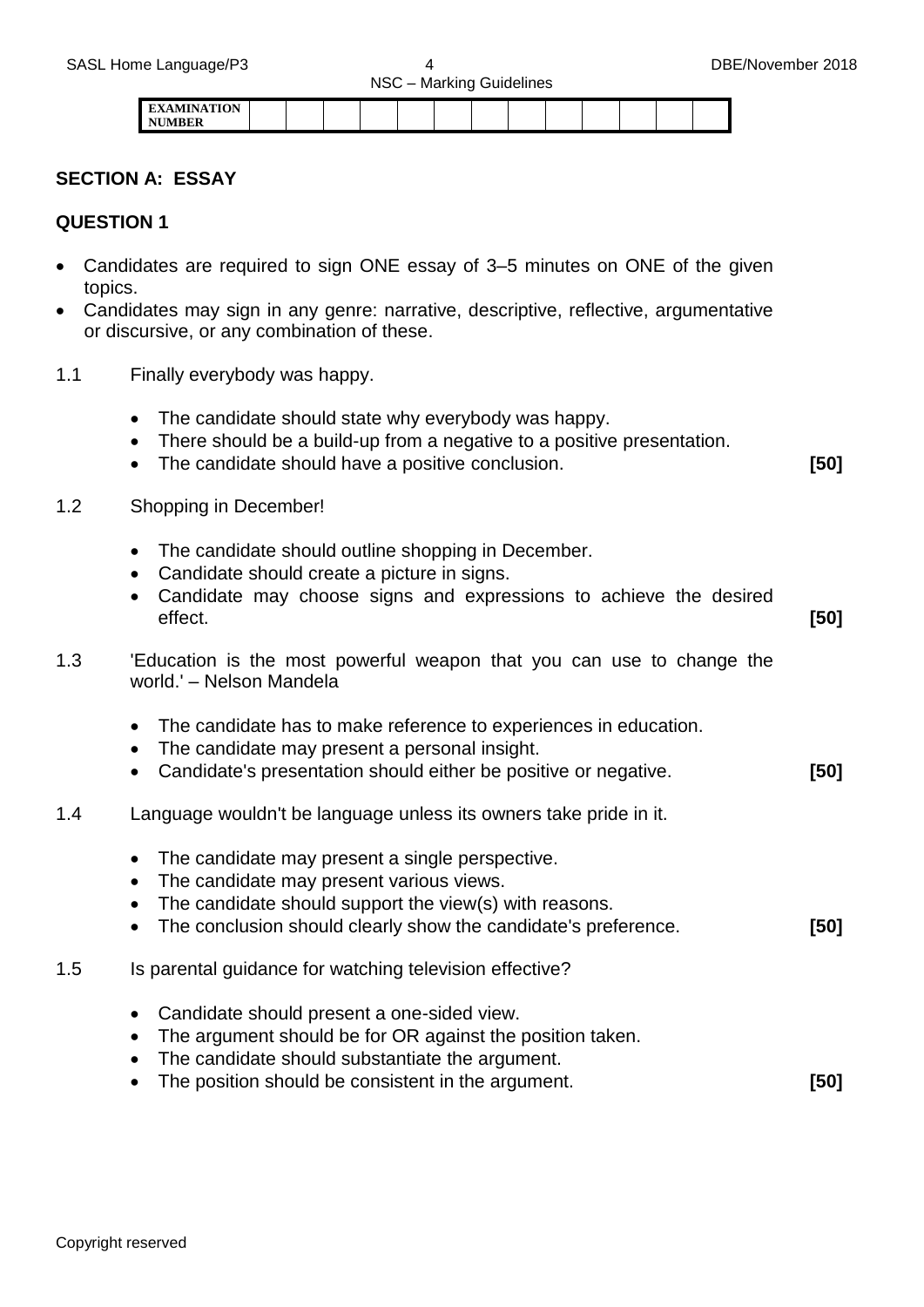|                                     |  |  | _ |  |  |  |  |
|-------------------------------------|--|--|---|--|--|--|--|
| <b>EXAMINATION</b><br><b>NUMBER</b> |  |  |   |  |  |  |  |

#### **SECTION A: ESSAY**

#### **QUESTION 1**

- Candidates are required to sign ONE essay of 3–5 minutes on ONE of the given topics.
- Candidates may sign in any genre: narrative, descriptive, reflective, argumentative or discursive, or any combination of these.
- 1.1 Finally everybody was happy.
	- The candidate should state why everybody was happy.
	- There should be a build-up from a negative to a positive presentation.
	- The candidate should have a positive conclusion. **[50]**
- 1.2 Shopping in December!
	- The candidate should outline shopping in December.
	- Candidate should create a picture in signs.
	- Candidate may choose signs and expressions to achieve the desired effect. **[50]**
- 1.3 'Education is the most powerful weapon that you can use to change the world.' – Nelson Mandela
	- The candidate has to make reference to experiences in education.
	- The candidate may present a personal insight.
	- Candidate's presentation should either be positive or negative. **[50]**
- 1.4 Language wouldn't be language unless its owners take pride in it.
	- The candidate may present a single perspective.
	- The candidate may present various views.
	- The candidate should support the view(s) with reasons.
	- The conclusion should clearly show the candidate's preference. **[50]**
- 1.5 Is parental guidance for watching television effective?
	- Candidate should present a one-sided view.
	- The argument should be for OR against the position taken.
	- The candidate should substantiate the argument.
	- The position should be consistent in the argument. **[50]**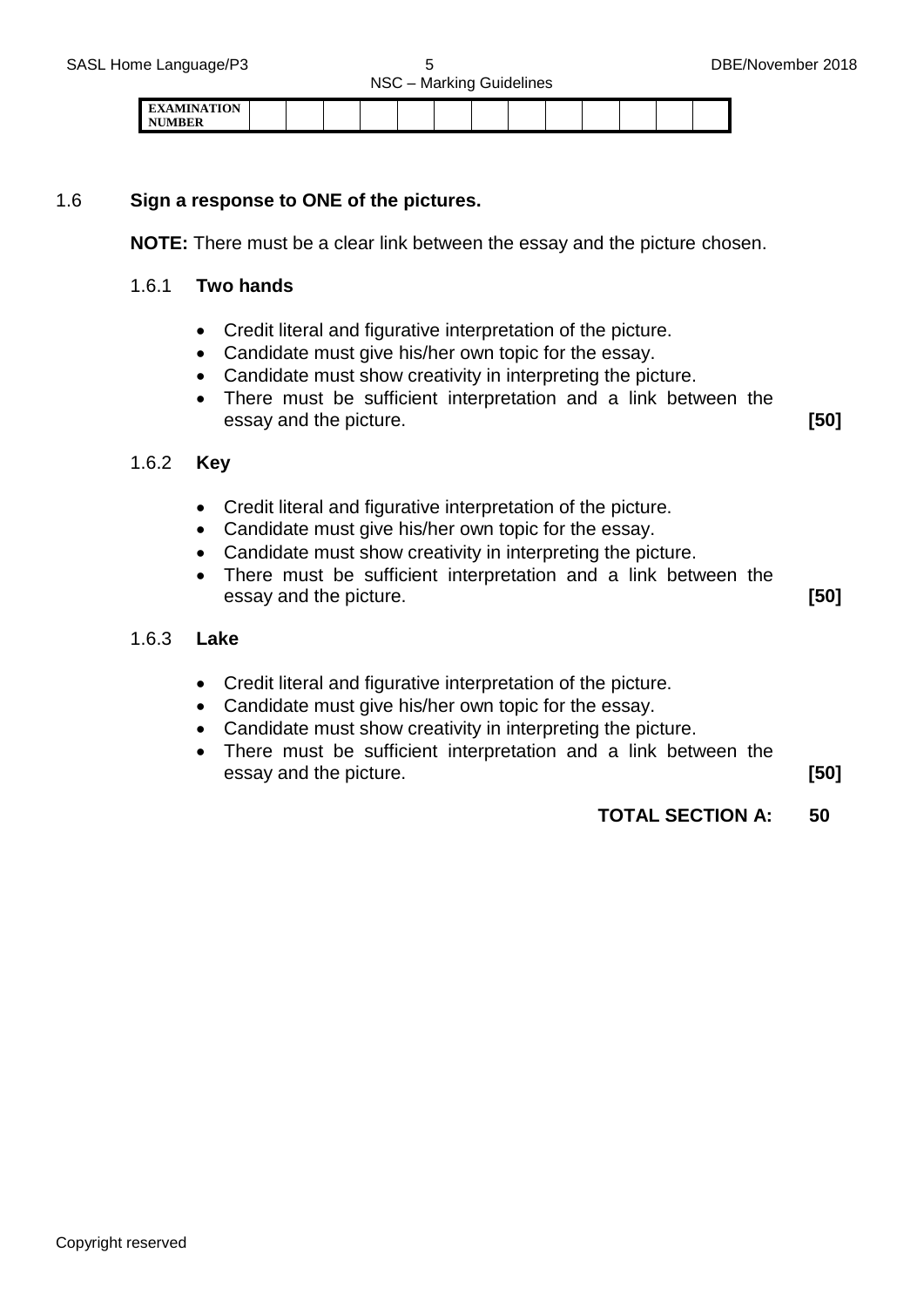



| EXAMINATION<br>. |  |  |  |  |  |  |  |
|------------------|--|--|--|--|--|--|--|
| <b>NIMBED</b>    |  |  |  |  |  |  |  |

#### 1.6 **Sign a response to ONE of the pictures.**

**NOTE:** There must be a clear link between the essay and the picture chosen.

#### 1.6.1 **Two hands**

- Credit literal and figurative interpretation of the picture.
- Candidate must give his/her own topic for the essay.
- Candidate must show creativity in interpreting the picture.
- There must be sufficient interpretation and a link between the essay and the picture. **[50]**

#### 1.6.2 **Key**

- Credit literal and figurative interpretation of the picture.
- Candidate must give his/her own topic for the essay.
- Candidate must show creativity in interpreting the picture.
- There must be sufficient interpretation and a link between the essay and the picture. **[50]**

#### 1.6.3 **Lake**

- Credit literal and figurative interpretation of the picture.
- Candidate must give his/her own topic for the essay.
- Candidate must show creativity in interpreting the picture.
- There must be sufficient interpretation and a link between the essay and the picture. **[50]**
	-
	- **TOTAL SECTION A: 50**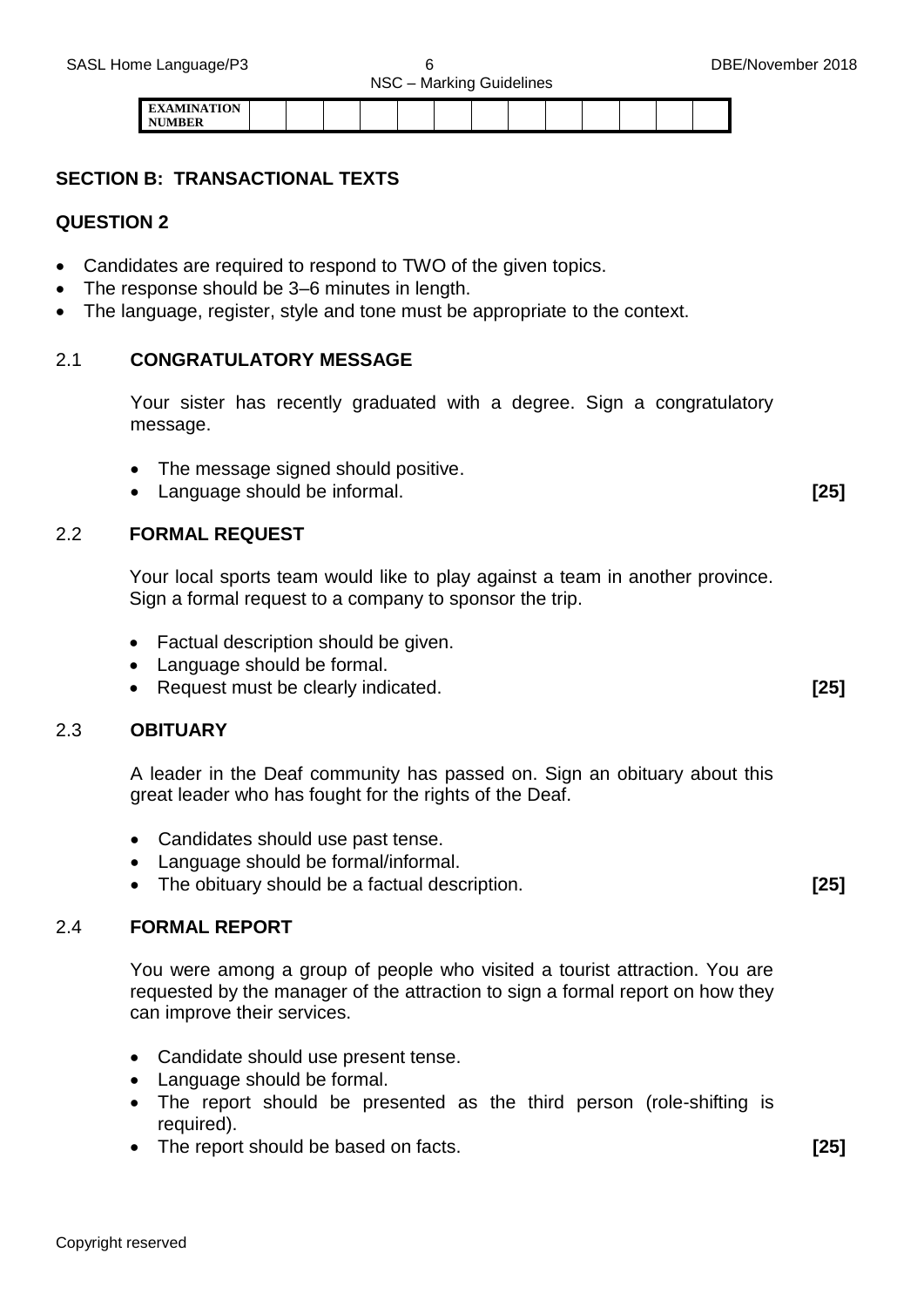| ATN' A TION |  |  |  |  |  |  |  |
|-------------|--|--|--|--|--|--|--|
| I NT        |  |  |  |  |  |  |  |

#### **SECTION B: TRANSACTIONAL TEXTS**

#### **QUESTION 2**

- Candidates are required to respond to TWO of the given topics.
- The response should be 3–6 minutes in length.
- The language, register, style and tone must be appropriate to the context.

#### 2.1 **CONGRATULATORY MESSAGE**

Your sister has recently graduated with a degree. Sign a congratulatory message.

- The message signed should positive.
- Language should be informal. **[25]**

#### 2.2 **FORMAL REQUEST**

Your local sports team would like to play against a team in another province. Sign a formal request to a company to sponsor the trip.

- Factual description should be given.
- Language should be formal.
- Request must be clearly indicated. **[25]**

#### 2.3 **OBITUARY**

A leader in the Deaf community has passed on. Sign an obituary about this great leader who has fought for the rights of the Deaf.

- Candidates should use past tense.
- Language should be formal/informal.
- The obituary should be a factual description. **[25]**

#### 2.4 **FORMAL REPORT**

You were among a group of people who visited a tourist attraction. You are requested by the manager of the attraction to sign a formal report on how they can improve their services.

- Candidate should use present tense.
- Language should be formal.
- The report should be presented as the third person (role-shifting is required).
- The report should be based on facts. **[25]**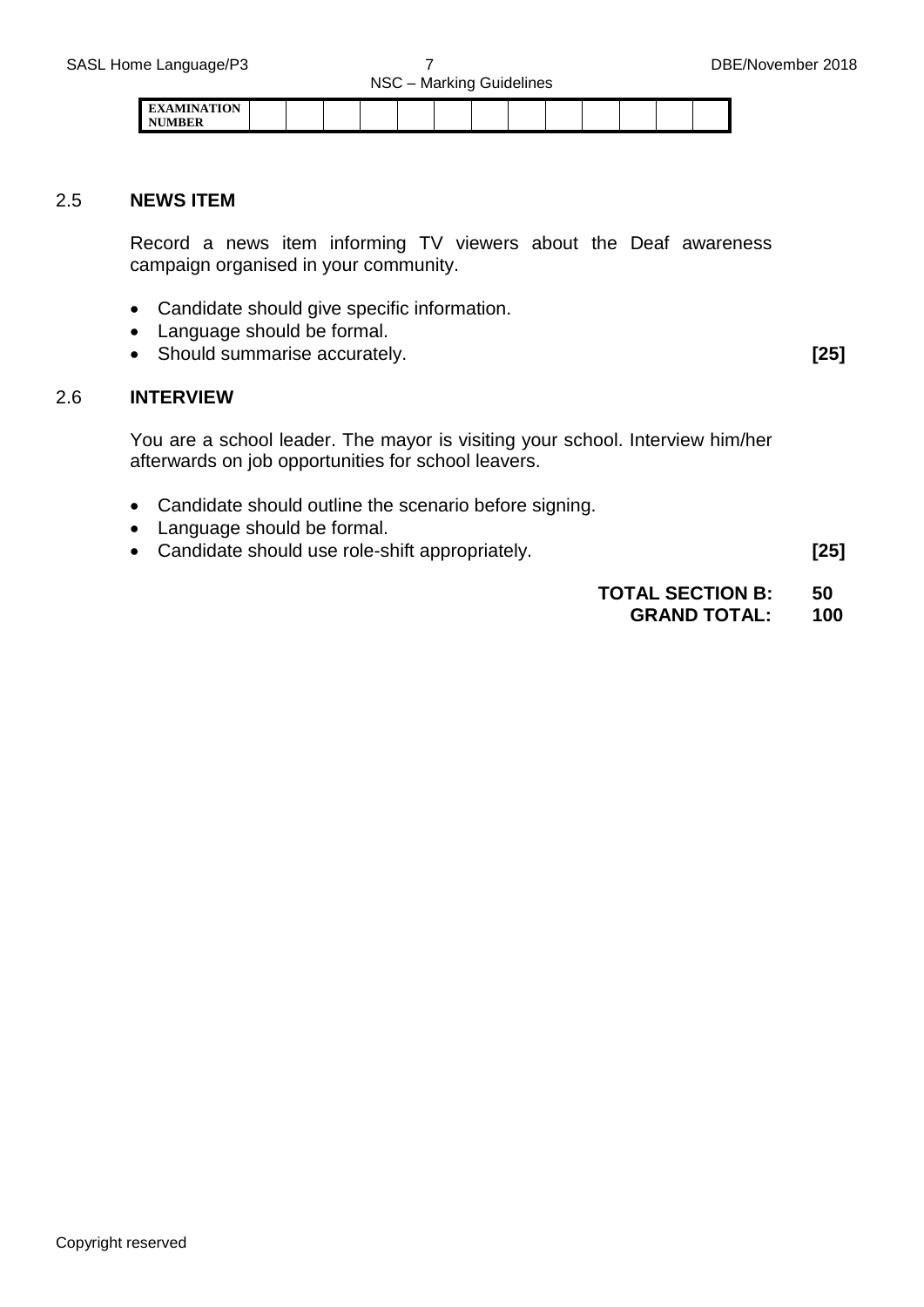| <b>EVAMINATION</b> |  |  |  |  |  |  |  |
|--------------------|--|--|--|--|--|--|--|
| <b>AITIS COMPA</b> |  |  |  |  |  |  |  |

#### 2.5 **NEWS ITEM**

Record a news item informing TV viewers about the Deaf awareness campaign organised in your community.

- Candidate should give specific information.
- Language should be formal.
- Should summarise accurately. **[25]**

#### 2.6 **INTERVIEW**

You are a school leader. The mayor is visiting your school. Interview him/her afterwards on job opportunities for school leavers.

- Candidate should outline the scenario before signing.
- Language should be formal.
- Candidate should use role-shift appropriately. **[25]**

**TOTAL SECTION B: 50 GRAND TOTAL: 100**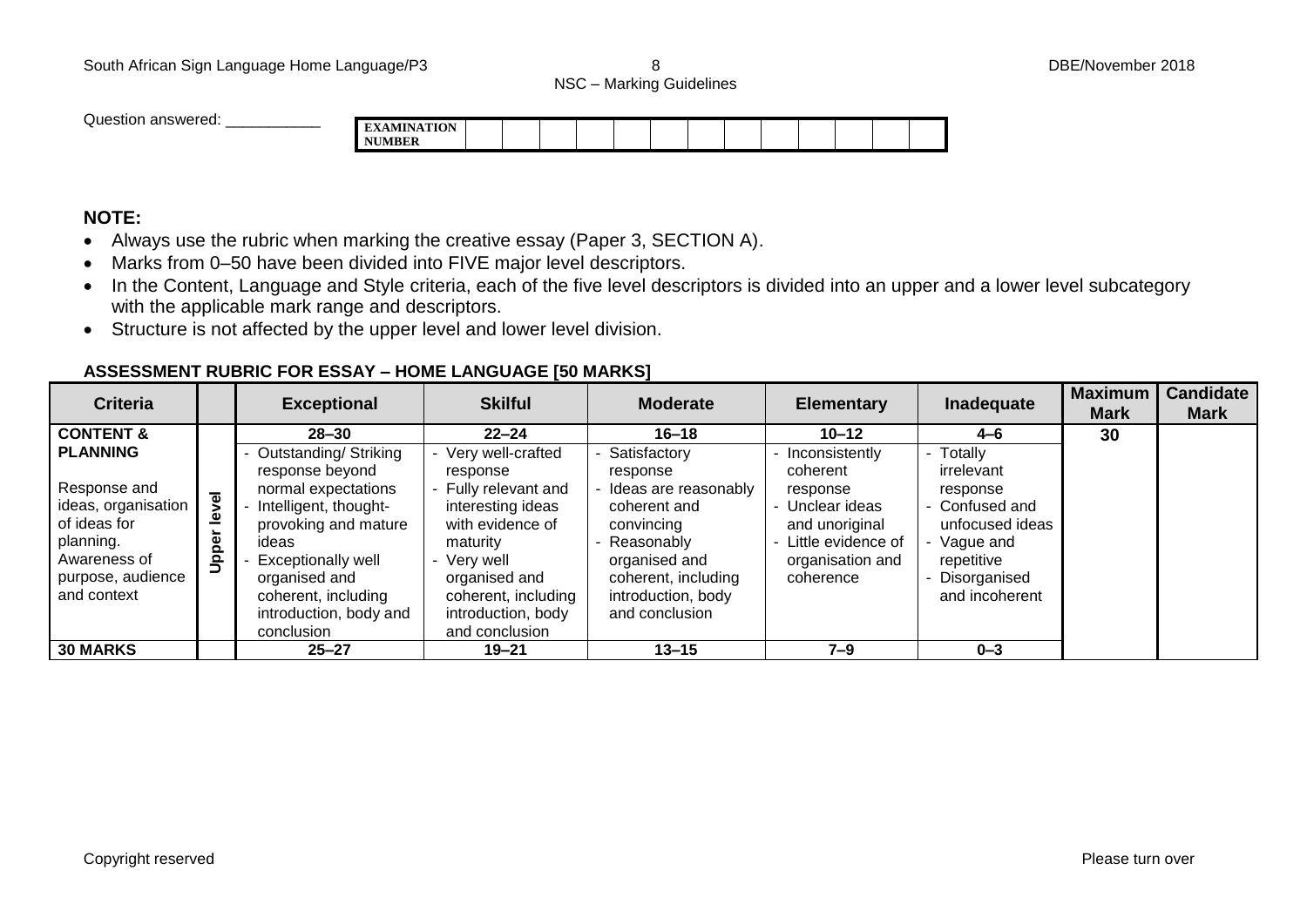NSC – Marking Guidelines

Question answered: **EXAMINATION** 

## **NUMBER**

### **NOTE:**

- Always use the rubric when marking the creative essay (Paper 3, SECTION A).
- Marks from 0–50 have been divided into FIVE major level descriptors.
- In the Content, Language and Style criteria, each of the five level descriptors is divided into an upper and a lower level subcategory with the applicable mark range and descriptors.
- Structure is not affected by the upper level and lower level division.

#### **ASSESSMENT RUBRIC FOR ESSAY – HOME LANGUAGE [50 MARKS]**

| <b>Criteria</b>                                                                                                                                                 |                        | <b>Exceptional</b>                                                                                                                                                                                                                                 | <b>Skilful</b>                                                                                                                                                                                                       | <b>Moderate</b>                                                                                                                                                                           | <b>Elementary</b>                                                                                                                               | Inadequate                                                                                                                                       | <b>Maximum</b><br><b>Mark</b> | <b>Candidate</b><br><b>Mark</b> |
|-----------------------------------------------------------------------------------------------------------------------------------------------------------------|------------------------|----------------------------------------------------------------------------------------------------------------------------------------------------------------------------------------------------------------------------------------------------|----------------------------------------------------------------------------------------------------------------------------------------------------------------------------------------------------------------------|-------------------------------------------------------------------------------------------------------------------------------------------------------------------------------------------|-------------------------------------------------------------------------------------------------------------------------------------------------|--------------------------------------------------------------------------------------------------------------------------------------------------|-------------------------------|---------------------------------|
| <b>CONTENT &amp;</b><br><b>PLANNING</b><br>Response and<br>ideas, organisation<br>of ideas for<br>planning.<br>Awareness of<br>purpose, audience<br>and context | evel<br><u>اھ</u><br>흥 | $28 - 30$<br>Outstanding/Striking<br>response beyond<br>normal expectations<br>Intelligent, thought-<br>provoking and mature<br>ideas<br><b>Exceptionally well</b><br>organised and<br>coherent, including<br>introduction, body and<br>conclusion | $22 - 24$<br>Very well-crafted<br>response<br>- Fully relevant and<br>interesting ideas<br>with evidence of<br>maturity<br>Very well<br>organised and<br>coherent, including<br>introduction, body<br>and conclusion | $16 - 18$<br>Satisfactory<br>response<br>Ideas are reasonably<br>coherent and<br>convincing<br>Reasonably<br>organised and<br>coherent, including<br>introduction, body<br>and conclusion | $10 - 12$<br>Inconsistently<br>coherent<br>response<br>- Unclear ideas<br>and unoriginal<br>Little evidence of<br>organisation and<br>coherence | $4 - 6$<br>Totally<br>irrelevant<br>response<br>- Confused and<br>unfocused ideas<br>- Vague and<br>repetitive<br>Disorganised<br>and incoherent | 30                            |                                 |
| <b>30 MARKS</b>                                                                                                                                                 |                        | $25 - 27$                                                                                                                                                                                                                                          | $19 - 21$                                                                                                                                                                                                            | $13 - 15$                                                                                                                                                                                 | $7 - 9$                                                                                                                                         | $0 - 3$                                                                                                                                          |                               |                                 |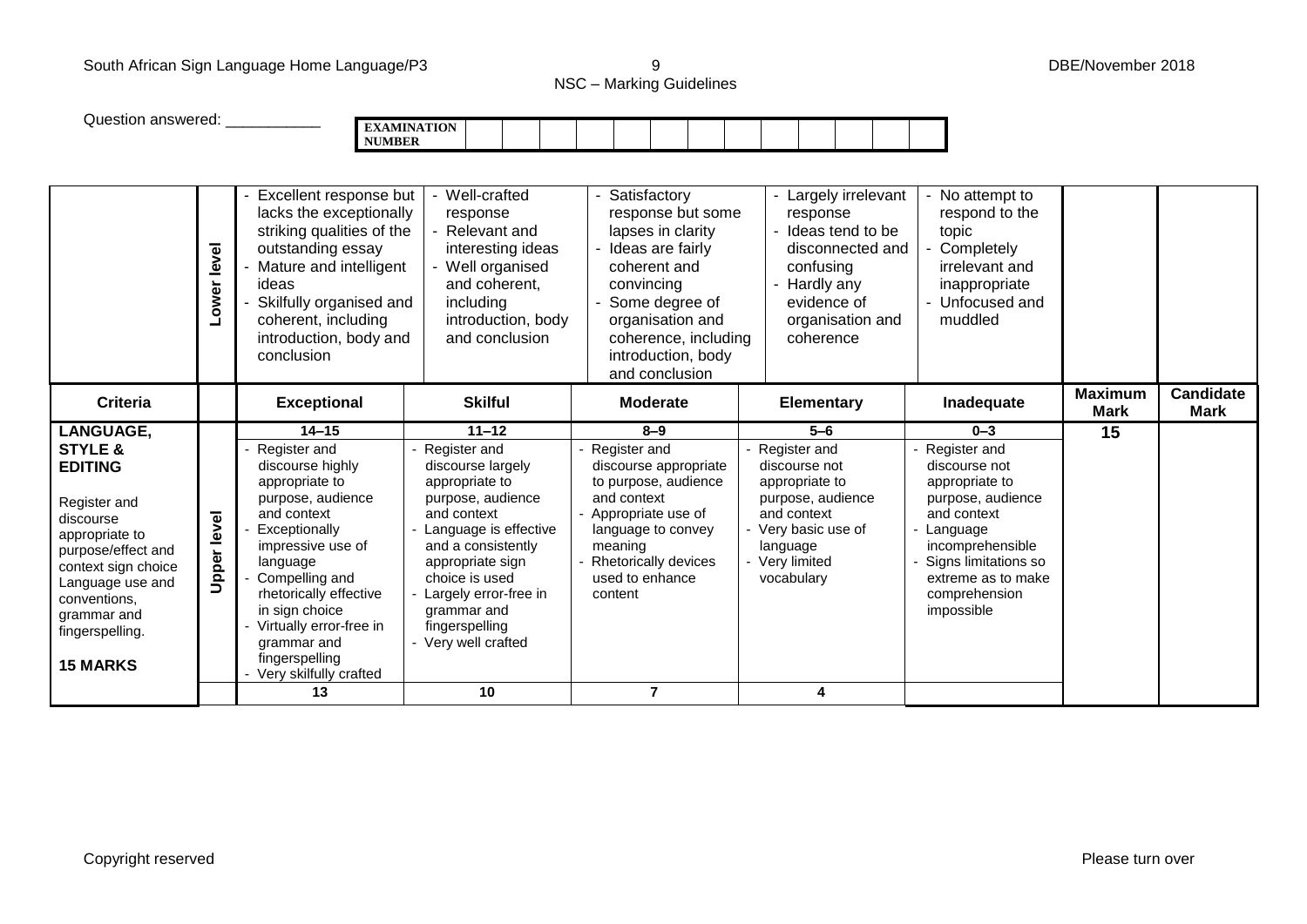### South African Sign Language Home Language/P3 9 DBE/November 2018

NSC – Marking Guidelines

| Question answered:                                                                                                                                                                |                    | <b>NUMBER</b>                                                                                                                                                                                                                                                                      | <b>EXAMINATION</b>                                                                                                                                                                                                                                    |                                                                                                                                                                                                                  |                                                                                                                                                         |                                                                                                                                                                                  |                               |                                 |
|-----------------------------------------------------------------------------------------------------------------------------------------------------------------------------------|--------------------|------------------------------------------------------------------------------------------------------------------------------------------------------------------------------------------------------------------------------------------------------------------------------------|-------------------------------------------------------------------------------------------------------------------------------------------------------------------------------------------------------------------------------------------------------|------------------------------------------------------------------------------------------------------------------------------------------------------------------------------------------------------------------|---------------------------------------------------------------------------------------------------------------------------------------------------------|----------------------------------------------------------------------------------------------------------------------------------------------------------------------------------|-------------------------------|---------------------------------|
|                                                                                                                                                                                   | Lower level        | Excellent response but<br>lacks the exceptionally<br>striking qualities of the<br>outstanding essay<br>Mature and intelligent<br>ideas<br>Skilfully organised and<br>coherent, including<br>introduction, body and<br>conclusion                                                   | Well-crafted<br>response<br>- Relevant and<br>interesting ideas<br>- Well organised<br>and coherent.<br>including<br>introduction, body<br>and conclusion                                                                                             | Satisfactory<br>response but some<br>lapses in clarity<br>- Ideas are fairly<br>coherent and<br>convincing<br>Some degree of<br>organisation and<br>coherence, including<br>introduction, body<br>and conclusion | - Largely irrelevant<br>response<br>- Ideas tend to be<br>disconnected and<br>confusing<br>- Hardly any<br>evidence of<br>organisation and<br>coherence | - No attempt to<br>respond to the<br>topic<br>- Completely<br>irrelevant and<br>inappropriate<br>- Unfocused and<br>muddled                                                      |                               |                                 |
| <b>Criteria</b>                                                                                                                                                                   |                    | <b>Exceptional</b>                                                                                                                                                                                                                                                                 | <b>Skilful</b>                                                                                                                                                                                                                                        | <b>Moderate</b>                                                                                                                                                                                                  | <b>Elementary</b>                                                                                                                                       | Inadequate                                                                                                                                                                       | <b>Maximum</b><br><b>Mark</b> | <b>Candidate</b><br><b>Mark</b> |
| <b>LANGUAGE,</b><br><b>STYLE &amp;</b><br><b>EDITING</b>                                                                                                                          |                    | $14 - 15$<br>Register and                                                                                                                                                                                                                                                          | $11 - 12$<br>Register and                                                                                                                                                                                                                             | $8 - 9$<br>Register and                                                                                                                                                                                          | $5 - 6$<br>Register and                                                                                                                                 | $0 - 3$<br>Register and                                                                                                                                                          | 15                            |                                 |
| Register and<br>discourse<br>appropriate to<br>purpose/effect and<br>context sign choice<br>Language use and<br>conventions,<br>grammar and<br>fingerspelling.<br><b>15 MARKS</b> | <b>Upper level</b> | discourse highly<br>appropriate to<br>purpose, audience<br>and context<br>Exceptionally<br>impressive use of<br>language<br>Compelling and<br>rhetorically effective<br>in sign choice<br>Virtually error-free in<br>grammar and<br>fingerspelling<br>Very skilfully crafted<br>13 | discourse largely<br>appropriate to<br>purpose, audience<br>and context<br>- Language is effective<br>and a consistently<br>appropriate sign<br>choice is used<br>Largely error-free in<br>grammar and<br>fingerspelling<br>- Very well crafted<br>10 | discourse appropriate<br>to purpose, audience<br>and context<br>- Appropriate use of<br>language to convey<br>meaning<br><b>Rhetorically devices</b><br>used to enhance<br>content                               | discourse not<br>appropriate to<br>purpose, audience<br>and context<br>Very basic use of<br>language<br>- Very limited<br>vocabulary                    | discourse not<br>appropriate to<br>purpose, audience<br>and context<br>Language<br>incomprehensible<br>Signs limitations so<br>extreme as to make<br>comprehension<br>impossible |                               |                                 |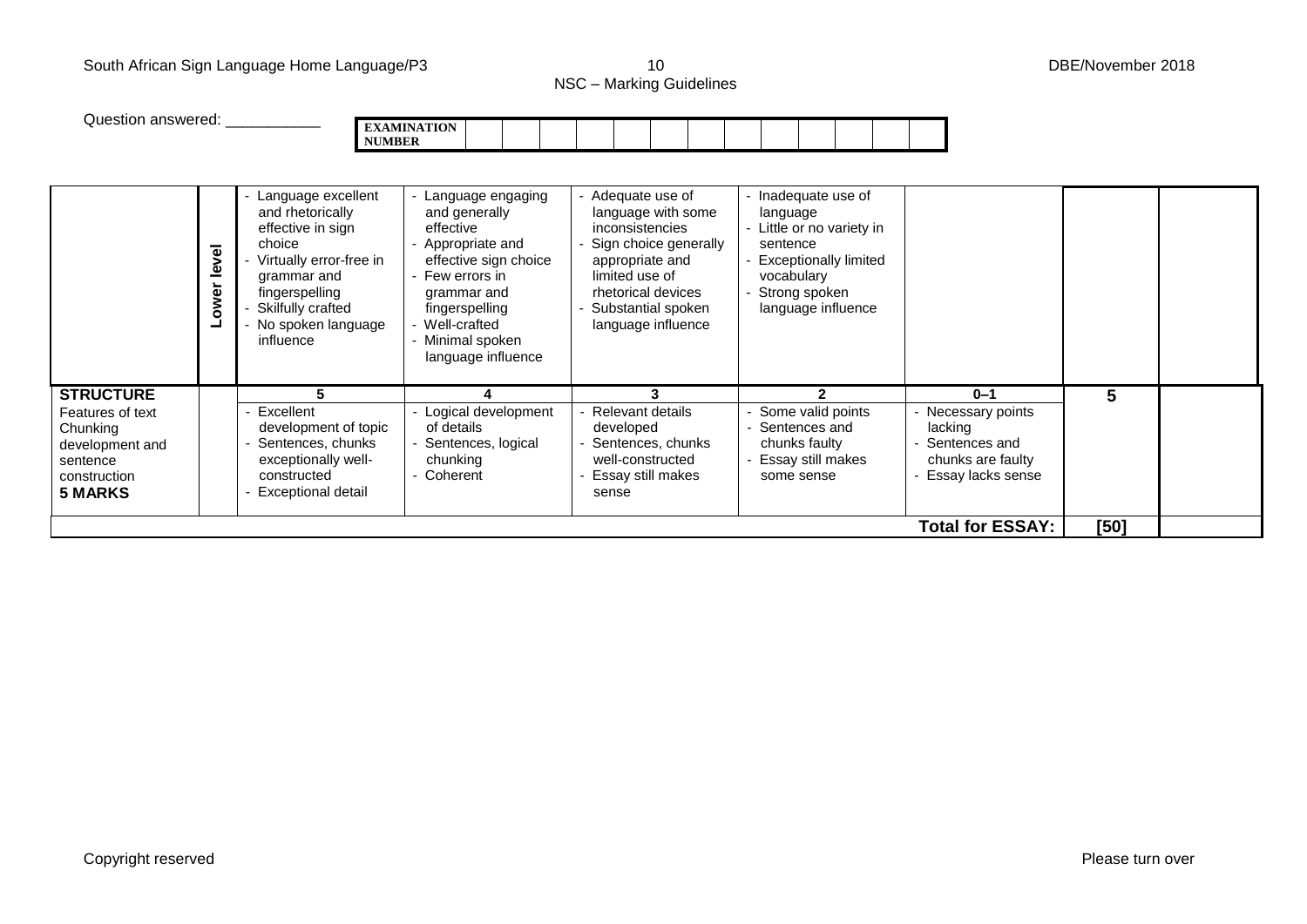#### South African Sign Language Home Language/P3 10 10 Contract 10 DBE/November 2018

NSC – Marking Guidelines

| $N5C - Marking Guaeines$ |  |
|--------------------------|--|
|                          |  |

| Question answered:                                                                                                |               | <b>NUMBER</b><br>Language excellent                                                                                                                                   | <b>EXAMINATION</b><br>Language engaging                                                                                                                                          | Adequate use of                                                                                                                                                              | - Inadequate use of                                                                                                                    |                                                                                                   |      |  |
|-------------------------------------------------------------------------------------------------------------------|---------------|-----------------------------------------------------------------------------------------------------------------------------------------------------------------------|----------------------------------------------------------------------------------------------------------------------------------------------------------------------------------|------------------------------------------------------------------------------------------------------------------------------------------------------------------------------|----------------------------------------------------------------------------------------------------------------------------------------|---------------------------------------------------------------------------------------------------|------|--|
|                                                                                                                   | level<br>ower | and rhetorically<br>effective in sign<br>choice<br>Virtually error-free in<br>grammar and<br>fingerspelling<br>Skilfully crafted<br>- No spoken language<br>influence | and generally<br>effective<br>Appropriate and<br>effective sign choice<br>Few errors in<br>grammar and<br>fingerspelling<br>Well-crafted<br>Minimal spoken<br>language influence | language with some<br><i>inconsistencies</i><br>Sign choice generally<br>appropriate and<br>limited use of<br>rhetorical devices<br>Substantial spoken<br>language influence | language<br>- Little or no variety in<br>sentence<br><b>Exceptionally limited</b><br>vocabulary<br>Strong spoken<br>language influence |                                                                                                   |      |  |
| <b>STRUCTURE</b><br>Features of text<br>Chunking<br>development and<br>sentence<br>construction<br><b>5 MARKS</b> |               | 5<br>Excellent<br>development of topic<br>Sentences, chunks<br>exceptionally well-<br>constructed<br>Exceptional detail                                               | Logical development<br>of details<br>Sentences, logical<br>chunking<br>Coherent                                                                                                  | 3<br>Relevant details<br>developed<br>Sentences, chunks<br>well-constructed<br>Essay still makes<br>sense                                                                    | $\mathfrak{p}$<br>Some valid points<br>Sentences and<br>chunks faulty<br>Essay still makes<br>some sense                               | $0 - 1$<br>Necessary points<br>lacking<br>Sentences and<br>chunks are faulty<br>Essay lacks sense | 5    |  |
|                                                                                                                   |               |                                                                                                                                                                       |                                                                                                                                                                                  |                                                                                                                                                                              |                                                                                                                                        | <b>Total for ESSAY:</b>                                                                           | [50] |  |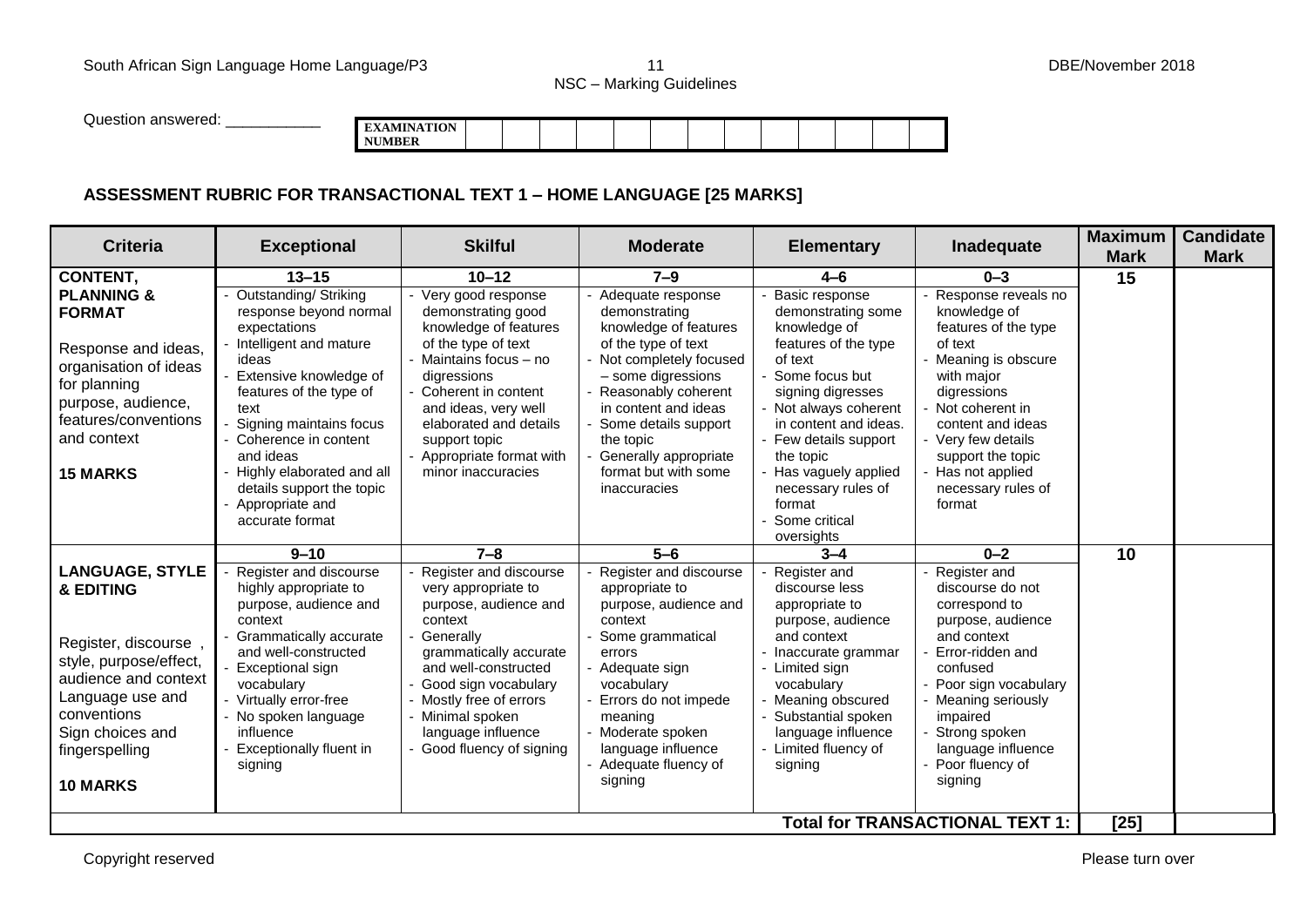NSC – Marking Guidelines

Question answered: **EXAMINATION NUMBER**

### **ASSESSMENT RUBRIC FOR TRANSACTIONAL TEXT 1 – HOME LANGUAGE [25 MARKS]**

| <b>Criteria</b>                                                                                                                                                                                           | <b>Exceptional</b>                                                                                                                                                                                                                                                                                              | <b>Skilful</b>                                                                                                                                                                                                                                                                          | <b>Moderate</b>                                                                                                                                                                                                                                                                                    | <b>Elementary</b>                                                                                                                                                                                                                                                              | Inadequate                                                                                                                                                                                                                                                                                               | <b>Maximum</b><br><b>Mark</b> | <b>Candidate</b><br><b>Mark</b> |
|-----------------------------------------------------------------------------------------------------------------------------------------------------------------------------------------------------------|-----------------------------------------------------------------------------------------------------------------------------------------------------------------------------------------------------------------------------------------------------------------------------------------------------------------|-----------------------------------------------------------------------------------------------------------------------------------------------------------------------------------------------------------------------------------------------------------------------------------------|----------------------------------------------------------------------------------------------------------------------------------------------------------------------------------------------------------------------------------------------------------------------------------------------------|--------------------------------------------------------------------------------------------------------------------------------------------------------------------------------------------------------------------------------------------------------------------------------|----------------------------------------------------------------------------------------------------------------------------------------------------------------------------------------------------------------------------------------------------------------------------------------------------------|-------------------------------|---------------------------------|
| <b>CONTENT,</b><br><b>PLANNING &amp;</b><br><b>FORMAT</b><br>Response and ideas,<br>organisation of ideas<br>for planning<br>purpose, audience,<br>features/conventions<br>and context<br><b>15 MARKS</b> | $13 - 15$<br><b>Outstanding/ Striking</b><br>response beyond normal<br>expectations<br>Intelligent and mature<br>ideas<br>Extensive knowledge of<br>features of the type of<br>text<br>Signing maintains focus<br>- Coherence in content<br>and ideas<br>Highly elaborated and all<br>details support the topic | $10 - 12$<br>Very good response<br>demonstrating good<br>knowledge of features<br>of the type of text<br>Maintains focus - no<br>digressions<br>Coherent in content<br>and ideas, very well<br>elaborated and details<br>support topic<br>Appropriate format with<br>minor inaccuracies | $7 - 9$<br>Adequate response<br>demonstrating<br>knowledge of features<br>of the type of text<br>Not completely focused<br>- some digressions<br>Reasonably coherent<br>in content and ideas<br>Some details support<br>the topic<br>Generally appropriate<br>format but with some<br>inaccuracies | $4 - 6$<br>Basic response<br>demonstrating some<br>knowledge of<br>features of the type<br>of text<br>Some focus but<br>signing digresses<br>- Not always coherent<br>in content and ideas.<br>- Few details support<br>the topic<br>Has vaguely applied<br>necessary rules of | $0 - 3$<br>Response reveals no<br>knowledge of<br>features of the type<br>of text<br>Meaning is obscure<br>with major<br>digressions<br>Not coherent in<br>content and ideas<br>- Very few details<br>support the topic<br>Has not applied<br>necessary rules of                                         | 15                            |                                 |
|                                                                                                                                                                                                           | Appropriate and<br>accurate format                                                                                                                                                                                                                                                                              |                                                                                                                                                                                                                                                                                         |                                                                                                                                                                                                                                                                                                    | format<br>Some critical<br>oversights                                                                                                                                                                                                                                          | format                                                                                                                                                                                                                                                                                                   |                               |                                 |
| <b>LANGUAGE, STYLE</b><br>& EDITING<br>Register, discourse,<br>style, purpose/effect,<br>audience and context<br>Language use and<br>conventions<br>Sign choices and<br>fingerspelling<br><b>10 MARKS</b> | $9 - 10$<br>Register and discourse<br>highly appropriate to<br>purpose, audience and<br>context<br>Grammatically accurate<br>and well-constructed<br>Exceptional sign<br>vocabulary<br>- Virtually error-free<br>- No spoken language<br>influence<br><b>Exceptionally fluent in</b><br>signing                 | $7 - 8$<br>Register and discourse<br>very appropriate to<br>purpose, audience and<br>context<br>Generally<br>grammatically accurate<br>and well-constructed<br>Good sign vocabulary<br>Mostly free of errors<br>Minimal spoken<br>language influence<br>Good fluency of signing         | $5-6$<br>Register and discourse<br>appropriate to<br>purpose, audience and<br>context<br>Some grammatical<br>errors<br>- Adequate sign<br>vocabulary<br>Errors do not impede<br>meaning<br>Moderate spoken<br>language influence<br>- Adequate fluency of<br>signing                               | $3 - 4$<br>Register and<br>discourse less<br>appropriate to<br>purpose, audience<br>and context<br>Inaccurate grammar<br>- Limited sign<br>vocabulary<br>Meaning obscured<br>Substantial spoken<br>language influence<br>- Limited fluency of<br>signing                       | $0 - 2$<br>Register and<br>discourse do not<br>correspond to<br>purpose, audience<br>and context<br>Error-ridden and<br>confused<br>Poor sign vocabulary<br>Meaning seriously<br>impaired<br>Strong spoken<br>language influence<br>Poor fluency of<br>signing<br><b>Total for TRANSACTIONAL TEXT 1:</b> | 10<br>$[25]$                  |                                 |